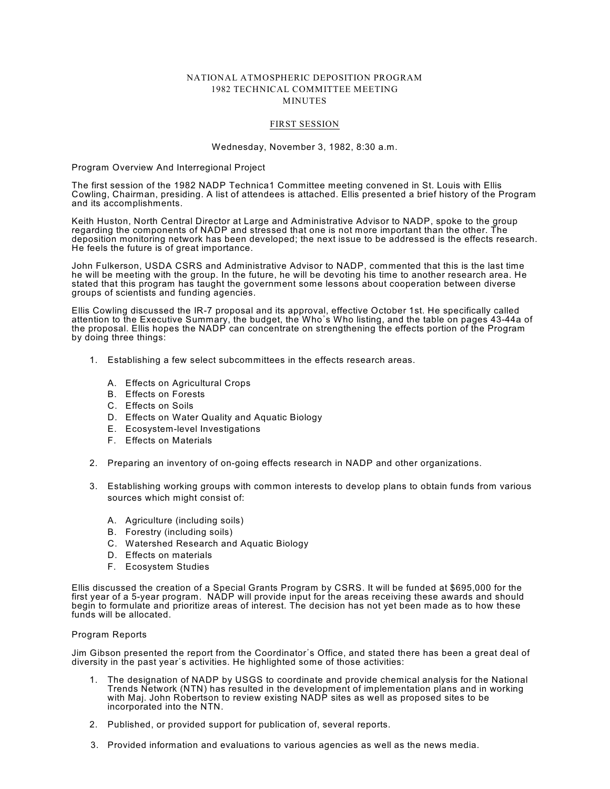### NATIONAL ATMOSPHERIC DEPOSITION PROGRAM 1982 TECHNICAL COMMITTEE MEETING MINUTES

#### FIRST SESSION

Wednesday, November 3, 1982, 8:30 a.m.

Program Overview And Interregional Project

The first session of the 1982 NADP Technica1 Committee meeting convened in St. Louis with Ellis Cowling, Chairman, presiding. A list of attendees is attached. Ellis presented a brief history of the Program and its accomplishments.

Keith Huston, North Central Director at Large and Administrative Advisor to NADP, spoke to the group regarding the components of NADP and stressed that one is not more important than the other. The deposition monitoring network has been developed; the next issue to be addressed is the effects research. He feels the future is of great importance.

John Fulkerson, USDA CSRS and Administrative Advisor to NADP, commented that this is the last time he will be meeting with the group. In the future, he will be devoting his time to another research area. He stated that this program has taught the government some lessons about cooperation between diverse groups of scientists and funding agencies.

Ellis Cowling discussed the IR-7 proposal and its approval, effective October 1st. He specifically called attention to the Executive Summary, the budget, the Who's Who listing, and the table on pages 43-44a of the proposal. Ellis hopes the NADP can concentrate on strengthening the effects portion of the Program by doing three things:

- 1. Establishing a few select subcommittees in the effects research areas.
	- A. Effects on Agricultural Crops
	- B. Effects on Forests
	- C. Effects on Soils
	- D. Effects on Water Quality and Aquatic Biology
	- E. Ecosystem-level Investigations
	- F. Effects on Materials
- 2. Preparing an inventory of on-going effects research in NADP and other organizations.
- 3. Establishing working groups with common interests to develop plans to obtain funds from various sources which might consist of:
	- A. Agriculture (including soils)
	- B. Forestry (including soils)
	- C. Watershed Research and Aquatic Biology
	- D. Effects on materials
	- F. Ecosystem Studies

Ellis discussed the creation of a Special Grants Program by CSRS. It will be funded at \$695,000 for the first year of a 5-year program. NADP will provide input for the areas receiving these awards and should begin to formulate and prioritize areas of interest. The decision has not yet been made as to how these funds will be allocated.

#### Program Reports

Jim Gibson presented the report from the Coordinator's Office, and stated there has been a great deal of diversity in the past year's activities. He highlighted some of those activities:

- 1. The designation of NADP by USGS to coordinate and provide chemical analysis for the National Trends Network (NTN) has resulted in the development of implementation plans and in working with Maj. John Robertson to review existing NADP sites as well as proposed sites to be incorporated into the NTN.
- 2. Published, or provided support for publication of, several reports.
- 3. Provided information and evaluations to various agencies as well as the news media.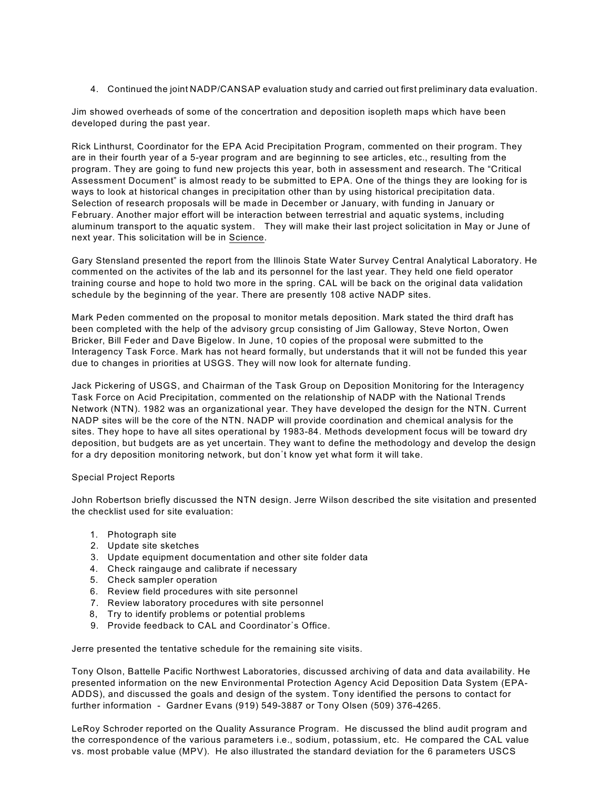4. Continued the joint NADP/CANSAP evaluation study and carried out first preliminary data evaluation.

Jim showed overheads of some of the concertration and deposition isopleth maps which have been developed during the past year.

Rick Linthurst, Coordinator for the EPA Acid Precipitation Program, commented on their program. They are in their fourth year of a 5-year program and are beginning to see articles, etc., resulting from the program. They are going to fund new projects this year, both in assessment and research. The "Critical Assessment Document" is almost ready to be submitted to EPA. One of the things they are looking for is ways to look at historical changes in precipitation other than by using historical precipitation data. Selection of research proposals will be made in December or January, with funding in January or February. Another major effort will be interaction between terrestrial and aquatic systems, including aluminum transport to the aquatic system. They will make their last project solicitation in May or June of next year. This solicitation will be in Science.

Gary Stensland presented the report from the Illinois State Water Survey Central Analytical Laboratory. He commented on the activites of the lab and its personnel for the last year. They held one field operator training course and hope to hold two more in the spring. CAL will be back on the original data validation schedule by the beginning of the year. There are presently 108 active NADP sites.

Mark Peden commented on the proposal to monitor metals deposition. Mark stated the third draft has been completed with the help of the advisory grcup consisting of Jim Galloway, Steve Norton, Owen Bricker, Bill Feder and Dave Bigelow. In June, 10 copies of the proposal were submitted to the Interagency Task Force. Mark has not heard formally, but understands that it will not be funded this year due to changes in priorities at USGS. They will now look for alternate funding.

Jack Pickering of USGS, and Chairman of the Task Group on Deposition Monitoring for the Interagency Task Force on Acid Precipitation, commented on the relationship of NADP with the National Trends Network (NTN). 1982 was an organizational year. They have developed the design for the NTN. Current NADP sites will be the core of the NTN. NADP will provide coordination and chemical analysis for the sites. They hope to have all sites operational by 1983-84. Methods development focus will be toward dry deposition, but budgets are as yet uncertain. They want to define the methodology and develop the design for a dry deposition monitoring network, but don't know yet what form it will take.

# Special Project Reports

John Robertson briefly discussed the NTN design. Jerre Wilson described the site visitation and presented the checklist used for site evaluation:

- 1. Photograph site
- 2. Update site sketches
- 3. Update equipment documentation and other site folder data
- 4. Check raingauge and calibrate if necessary
- 5. Check sampler operation
- 6. Review field procedures with site personnel
- 7. Review laboratory procedures with site personnel
- 8, Try to identify problems or potential problems
- 9. Provide feedback to CAL and Coordinator's Office.

Jerre presented the tentative schedule for the remaining site visits.

Tony Olson, Battelle Pacific Northwest Laboratories, discussed archiving of data and data availability. He presented information on the new Environmental Protection Agency Acid Deposition Data System (EPA-ADDS), and discussed the goals and design of the system. Tony identified the persons to contact for further information - Gardner Evans (919) 549-3887 or Tony Olsen (509) 376-4265.

LeRoy Schroder reported on the Quality Assurance Program. He discussed the blind audit program and the correspondence of the various parameters i.e., sodium, potassium, etc. He compared the CAL value vs. most probable value (MPV). He also illustrated the standard deviation for the 6 parameters USCS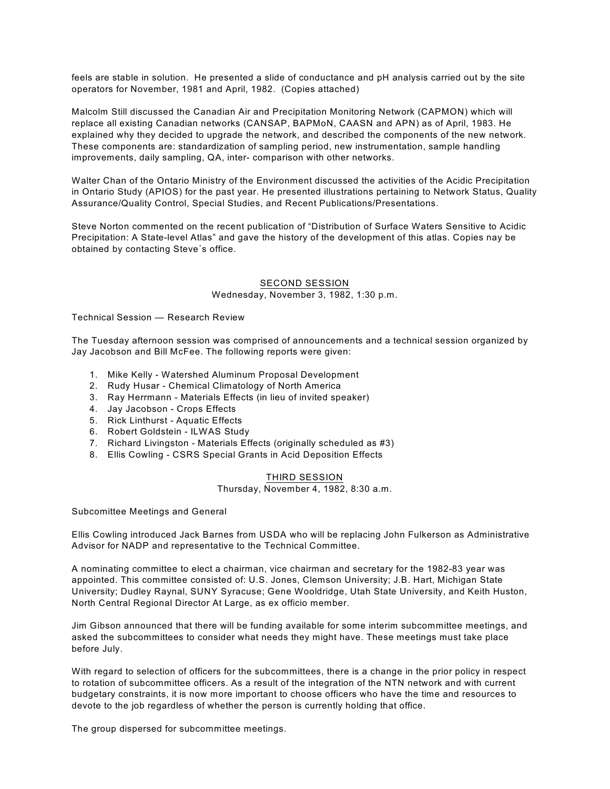feels are stable in solution. He presented a slide of conductance and pH analysis carried out by the site operators for November, 1981 and April, 1982. (Copies attached)

Malcolm Still discussed the Canadian Air and Precipitation Monitoring Network (CAPMON) which will replace all existing Canadian networks (CANSAP, BAPMoN, CAASN and APN) as of April, 1983. He explained why they decided to upgrade the network, and described the components of the new network. These components are: standardization of sampling period, new instrumentation, sample handling improvements, daily sampling, QA, inter- comparison with other networks.

Walter Chan of the Ontario Ministry of the Environment discussed the activities of the Acidic Precipitation in Ontario Study (APIOS) for the past year. He presented illustrations pertaining to Network Status, Quality Assurance/Quality Control, Special Studies, and Recent Publications/Presentations.

Steve Norton commented on the recent publication of "Distribution of Surface Waters Sensitive to Acidic Precipitation: A State-level Atlas" and gave the history of the development of this atlas. Copies nay be obtained by contacting Steve's office.

# SECOND SESSION

## Wednesday, November 3, 1982, 1:30 p.m.

Technical Session — Research Review

The Tuesday afternoon session was comprised of announcements and a technical session organized by Jay Jacobson and Bill McFee. The following reports were given:

- 1. Mike Kelly Watershed Aluminum Proposal Development
- 2. Rudy Husar Chemical Climatology of North America
- 3. Ray Herrmann Materials Effects (in lieu of invited speaker)
- 4. Jay Jacobson Crops Effects
- 5. Rick Linthurst Aquatic Effects
- 6. Robert Goldstein ILWAS Study
- 7. Richard Livingston Materials Effects (originally scheduled as #3)
- 8. Ellis Cowling CSRS Special Grants in Acid Deposition Effects

# THIRD SESSION

Thursday, November 4, 1982, 8:30 a.m.

Subcomittee Meetings and General

Ellis Cowling introduced Jack Barnes from USDA who will be replacing John Fulkerson as Administrative Advisor for NADP and representative to the Technical Committee.

A nominating committee to elect a chairman, vice chairman and secretary for the 1982-83 year was appointed. This committee consisted of: U.S. Jones, Clemson University; J.B. Hart, Michigan State University; Dudley Raynal, SUNY Syracuse; Gene Wooldridge, Utah State University, and Keith Huston, North Central Regional Director At Large, as ex officio member.

Jim Gibson announced that there will be funding available for some interim subcommittee meetings, and asked the subcommittees to consider what needs they might have. These meetings must take place before July.

With regard to selection of officers for the subcommittees, there is a change in the prior policy in respect to rotation of subcommittee officers. As a result of the integration of the NTN network and with current budgetary constraints, it is now more important to choose officers who have the time and resources to devote to the job regardless of whether the person is currently holding that office.

The group dispersed for subcommittee meetings.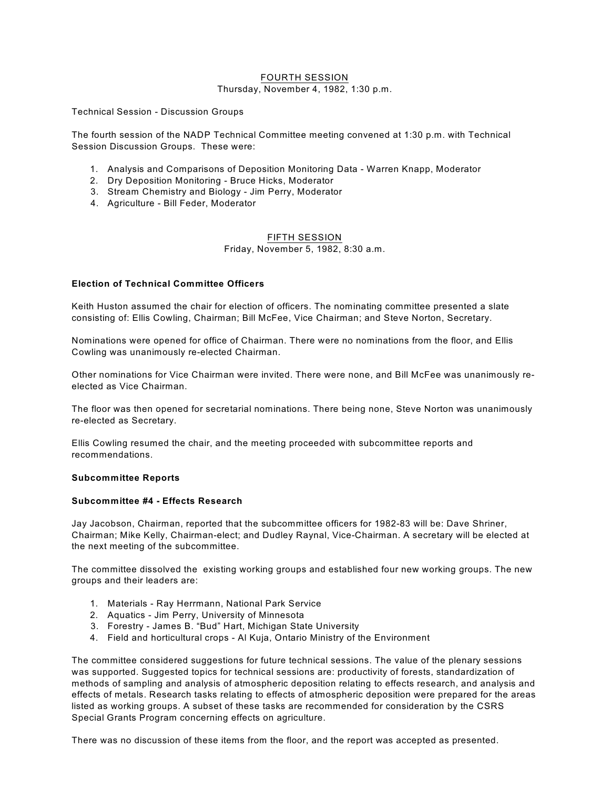# FOURTH SESSION

#### Thursday, November 4, 1982, 1:30 p.m.

Technical Session - Discussion Groups

The fourth session of the NADP Technical Committee meeting convened at 1:30 p.m. with Technical Session Discussion Groups. These were:

- 1. Analysis and Comparisons of Deposition Monitoring Data Warren Knapp, Moderator
- 2. Dry Deposition Monitoring Bruce Hicks, Moderator
- 3. Stream Chemistry and Biology Jim Perry, Moderator
- 4. Agriculture Bill Feder, Moderator

## FIFTH SESSION

Friday, November 5, 1982, 8:30 a.m.

### **Election of Technical Committee Officers**

Keith Huston assumed the chair for election of officers. The nominating committee presented a slate consisting of: Ellis Cowling, Chairman; Bill McFee, Vice Chairman; and Steve Norton, Secretary.

Nominations were opened for office of Chairman. There were no nominations from the floor, and Ellis Cowling was unanimously re-elected Chairman.

Other nominations for Vice Chairman were invited. There were none, and Bill McFee was unanimously reelected as Vice Chairman.

The floor was then opened for secretarial nominations. There being none, Steve Norton was unanimously re-elected as Secretary.

Ellis Cowling resumed the chair, and the meeting proceeded with subcommittee reports and recommendations.

#### **Subcommittee Reports**

#### **Subcommittee #4 - Effects Research**

Jay Jacobson, Chairman, reported that the subcommittee officers for 1982-83 will be: Dave Shriner, Chairman; Mike Kelly, Chairman-elect; and Dudley Raynal, Vice-Chairman. A secretary will be elected at the next meeting of the subcommittee.

The committee dissolved the existing working groups and established four new working groups. The new groups and their leaders are:

- 1. Materials Ray Herrmann, National Park Service
- 2. Aquatics Jim Perry, University of Minnesota
- 3. Forestry James B. "Bud" Hart, Michigan State University
- 4. Field and horticultural crops Al Kuja, Ontario Ministry of the Environment

The committee considered suggestions for future technical sessions. The value of the plenary sessions was supported. Suggested topics for technical sessions are: productivity of forests, standardization of methods of sampling and analysis of atmospheric deposition relating to effects research, and analysis and effects of metals. Research tasks relating to effects of atmospheric deposition were prepared for the areas listed as working groups. A subset of these tasks are recommended for consideration by the CSRS Special Grants Program concerning effects on agriculture.

There was no discussion of these items from the floor, and the report was accepted as presented.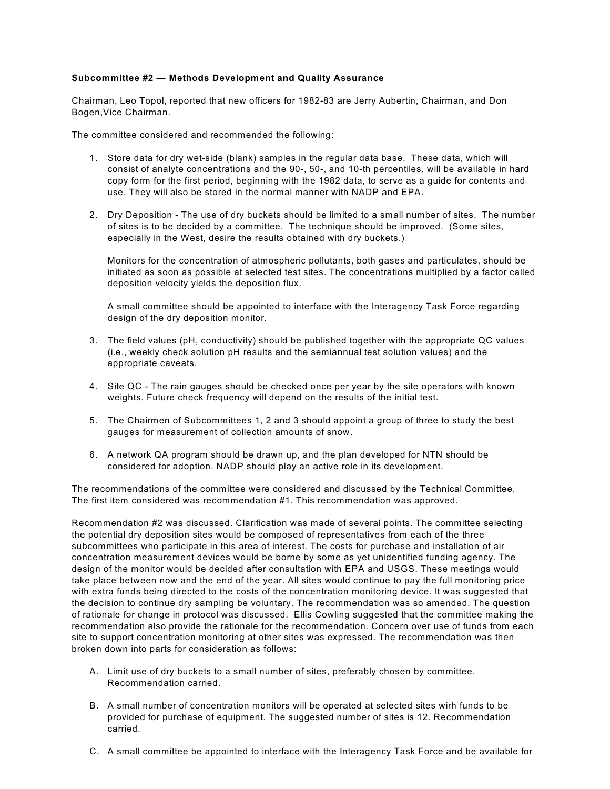# **Subcommittee #2 — Methods Development and Quality Assurance**

Chairman, Leo Topol, reported that new officers for 1982-83 are Jerry Aubertin, Chairman, and Don Bogen,Vice Chairman.

The committee considered and recommended the following:

- 1. Store data for dry wet-side (blank) samples in the regular data base. These data, which will consist of analyte concentrations and the 90-, 50-, and 10-th percentiles, will be available in hard copy form for the first period, beginning with the 1982 data, to serve as a guide for contents and use. They will also be stored in the normal manner with NADP and EPA.
- 2. Dry Deposition The use of dry buckets should be limited to a small number of sites. The number of sites is to be decided by a committee. The technique should be improved. (Some sites, especially in the West, desire the results obtained with dry buckets.)

Monitors for the concentration of atmospheric pollutants, both gases and particulates, should be initiated as soon as possible at selected test sites. The concentrations multiplied by a factor called deposition velocity yields the deposition flux.

A small committee should be appointed to interface with the Interagency Task Force regarding design of the dry deposition monitor.

- 3. The field values (pH, conductivity) should be published together with the appropriate QC values (i.e., weekly check solution pH results and the semiannual test solution values) and the appropriate caveats.
- 4. Site QC The rain gauges should be checked once per year by the site operators with known weights. Future check frequency will depend on the results of the initial test.
- 5. The Chairmen of Subcommittees 1, 2 and 3 should appoint a group of three to study the best gauges for measurement of collection amounts of snow.
- 6. A network QA program should be drawn up, and the plan developed for NTN should be considered for adoption. NADP should play an active role in its development.

The recommendations of the committee were considered and discussed by the Technical Committee. The first item considered was recommendation #1. This recommendation was approved.

Recommendation #2 was discussed. Clarification was made of several points. The committee selecting the potential dry deposition sites would be composed of representatives from each of the three subcommittees who participate in this area of interest. The costs for purchase and installation of air concentration measurement devices would be borne by some as yet unidentified funding agency. The design of the monitor would be decided after consultation with EPA and USGS. These meetings would take place between now and the end of the year. All sites would continue to pay the full monitoring price with extra funds being directed to the costs of the concentration monitoring device. It was suggested that the decision to continue dry sampling be voluntary. The recommendation was so amended. The question of rationale for change in protocol was discussed. Ellis Cowling suggested that the committee making the recommendation also provide the rationale for the recommendation. Concern over use of funds from each site to support concentration monitoring at other sites was expressed. The recommendation was then broken down into parts for consideration as follows:

- A. Limit use of dry buckets to a small number of sites, preferably chosen by committee. Recommendation carried.
- B. A small number of concentration monitors will be operated at selected sites wirh funds to be provided for purchase of equipment. The suggested number of sites is 12. Recommendation carried.
- C. A small committee be appointed to interface with the Interagency Task Force and be available for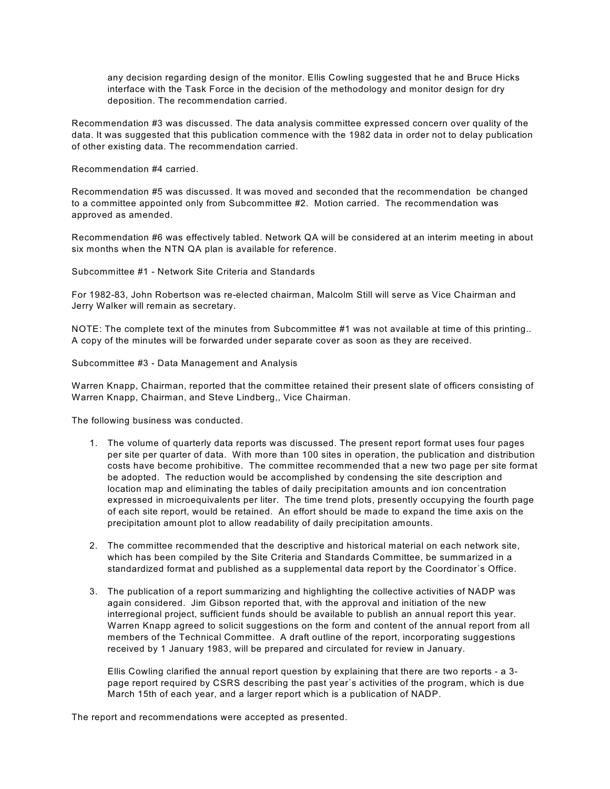any decision regarding design of the monitor. Ellis Cowling suggested that he and Bruce Hicks interface with the Task Force in the decision of the methodology and monitor design for dry deposition. The recommendation carried.

Recommendation #3 was discussed. The data analysis committee expressed concern over quality of the data. It was suggested that this publication commence with the 1982 data in order not to delay publication of other existing data. The recommendation carried.

Recommendation #4 carried.

Recommendation #5 was discussed. It was moved and seconded that the recommendation be changed to a committee appointed only from Subcommittee #2. Motion carried. The recommendation was approved as amended.

Recommendation #6 was effectively tabled. Network QA will be considered at an interim meeting in about six months when the NTN QA plan is available for reference.

Subcommittee #1 - Network Site Criteria and Standards

For 1982-83, John Robertson was re-elected chairman, Malcolm Still will serve as Vice Chairman and Jerry Walker will remain as secretary.

NOTE: The complete text of the minutes from Subcommittee #1 was not available at time of this printing.. A copy of the minutes will be forwarded under separate cover as soon as they are received.

Subcommittee #3 - Data Management and Analysis

Warren Knapp, Chairman, reported that the committee retained their present slate of officers consisting of Warren Knapp, Chairman, and Steve Lindberg,, Vice Chairman.

The following business was conducted.

- 1. The volume of quarterly data reports was discussed. The present report format uses four pages per site per quarter of data. With more than 100 sites in operation, the publication and distribution costs have become prohibitive. The committee recommended that a new two page per site format be adopted. The reduction would be accomplished by condensing the site description and location map and eliminating the tables of daily precipitation amounts and ion concentration expressed in microequivalents per liter. The time trend plots, presently occupying the fourth page of each site report, would be retained. An effort should be made to expand the time axis on the precipitation amount plot to allow readability of daily precipitation amounts.
- 2. The committee recommended that the descriptive and historical material on each network site, which has been compiled by the Site Criteria and Standards Committee, be summarized in a standardized format and published as a supplemental data report by the Coordinator's Office.
- 3. The publication of a report summarizing and highlighting the collective activities of NADP was again considered. Jim Gibson reported that, with the approval and initiation of the new interregional project, sufficient funds should be available to publish an annual report this year. Warren Knapp agreed to solicit suggestions on the form and content of the annual report from all members of the Technical Committee. A draft outline of the report, incorporating suggestions received by 1 January 1983, will be prepared and circulated for review in January.

Ellis Cowling clarified the annual report question by explaining that there are two reports - a 3 page report required by CSRS describing the past year's activities of the program, which is due March 15th of each year, and a larger report which is a publication of NADP.

The report and recommendations were accepted as presented.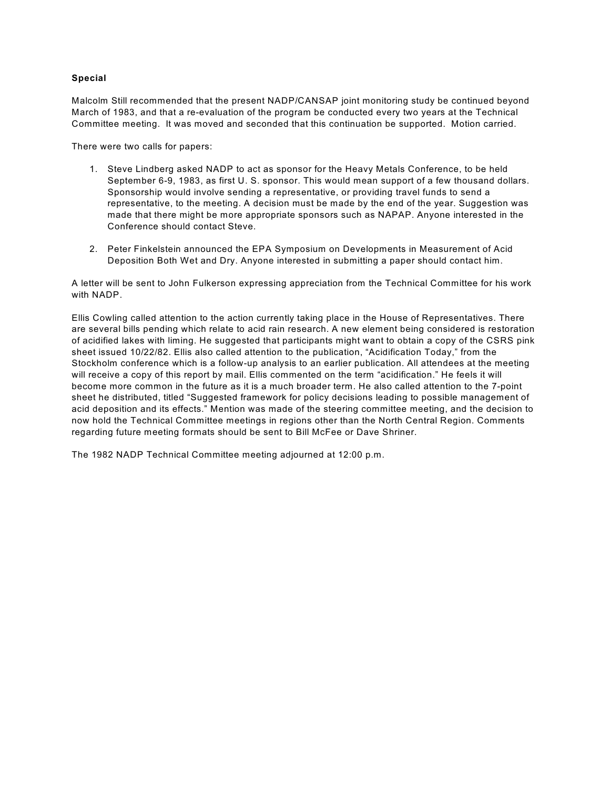# **Special**

Malcolm Still recommended that the present NADP/CANSAP joint monitoring study be continued beyond March of 1983, and that a re-evaluation of the program be conducted every two years at the Technical Committee meeting. It was moved and seconded that this continuation be supported. Motion carried.

There were two calls for papers:

- 1. Steve Lindberg asked NADP to act as sponsor for the Heavy Metals Conference, to be held September 6-9, 1983, as first U. S. sponsor. This would mean support of a few thousand dollars. Sponsorship would involve sending a representative, or providing travel funds to send a representative, to the meeting. A decision must be made by the end of the year. Suggestion was made that there might be more appropriate sponsors such as NAPAP. Anyone interested in the Conference should contact Steve.
- 2. Peter Finkelstein announced the EPA Symposium on Developments in Measurement of Acid Deposition Both Wet and Dry. Anyone interested in submitting a paper should contact him.

A letter will be sent to John Fulkerson expressing appreciation from the Technical Committee for his work with NADP.

Ellis Cowling called attention to the action currently taking place in the House of Representatives. There are several bills pending which relate to acid rain research. A new element being considered is restoration of acidified lakes with liming. He suggested that participants might want to obtain a copy of the CSRS pink sheet issued 10/22/82. Ellis also called attention to the publication, "Acidification Today," from the Stockholm conference which is a follow-up analysis to an earlier publication. All attendees at the meeting will receive a copy of this report by mail. Ellis commented on the term "acidification." He feels it will become more common in the future as it is a much broader term. He also called attention to the 7-point sheet he distributed, titled "Suggested framework for policy decisions leading to possible management of acid deposition and its effects." Mention was made of the steering committee meeting, and the decision to now hold the Technical Committee meetings in regions other than the North Central Region. Comments regarding future meeting formats should be sent to Bill McFee or Dave Shriner.

The 1982 NADP Technical Committee meeting adjourned at 12:00 p.m.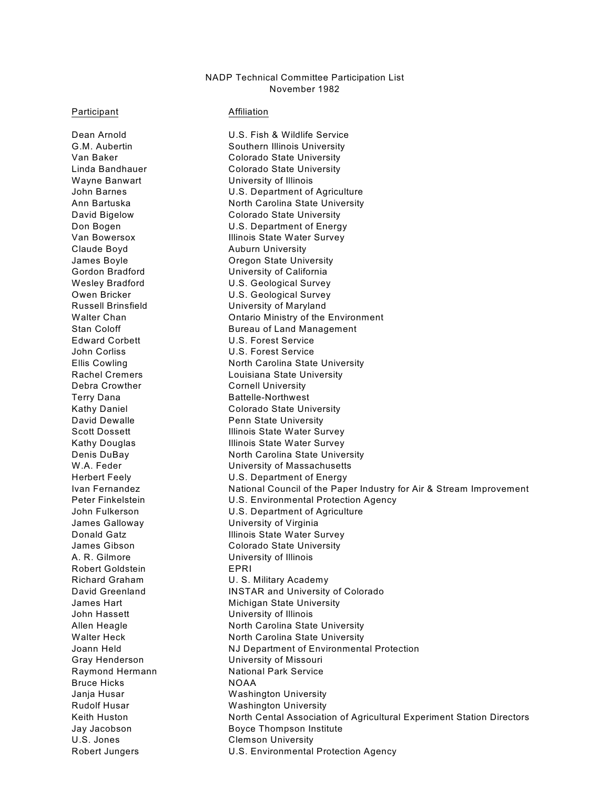# NADP Technical Committee Participation List November 1982

#### Participant **Participant Participant**

Dean Arnold U.S. Fish & Wildlife Service Wayne Banwart **University of Illinois** Claude Boyd **Auburn University** Russell Brinsfield University of Maryland Edward Corbett U.S. Forest Service John Corliss U.S. Forest Service Debra Crowther Cornell University Terry Dana **Battelle-Northwest** David Dewalle **Penn State University** James Galloway University of Virginia A. R. Gilmore University of Illinois Robert Goldstein EPRI John Hassett **University of Illinois** Gray Henderson University of Missouri Raymond Hermann National Park Service Bruce Hicks NOAA U.S. Jones Clemson University

G.M. Aubertin Southern Illinois University Van Baker Colorado State University Linda Bandhauer Colorado State University John Barnes U.S. Department of Agriculture Ann Bartuska North Carolina State University David Bigelow **Colorado State University** Don Bogen U.S. Department of Energy Van Bowersox **Illinois State Water Survey** James Boyle **Communist Communist Communist Communist Communist Communist Communist Communist Communist Communist Communist Communist Communist Communist Communist Communist Communist Communist Communist Communist Communist** Gordon Bradford University of California Wesley Bradford **U.S. Geological Survey** Owen Bricker **U.S. Geological Survey** Walter Chan **Chan** Ontario Ministry of the Environment Stan Coloff **Bureau of Land Management** Ellis Cowling **North Carolina State University** Rachel Cremers **Louisiana State University** Kathy Daniel **Colorado State University** Scott Dossett **Illinois State Water Survey** Kathy Douglas **Illinois State Water Survey** Denis DuBay North Carolina State University W.A. Feder **W.A.** Feder **W.A.** Feder Herbert Feely U.S. Department of Energy Ivan Fernandez National Council of the Paper Industry for Air & Stream Improvement Peter Finkelstein U.S. Environmental Protection Agency John Fulkerson U.S. Department of Agriculture Donald Gatz **Illinois State Water Survey** James Gibson Colorado State University Richard Graham U.S. Military Academy David Greenland **INSTAR** and University of Colorado James Hart **Michigan State University** Allen Heagle North Carolina State University Walter Heck North Carolina State University Joann Held NJ Department of Environmental Protection Janja Husar Washington University Rudolf Husar Washington University Keith Huston **North Cental Association of Agricultural Experiment Station Directors** Jay Jacobson Boyce Thompson Institute Robert Jungers U.S. Environmental Protection Agency